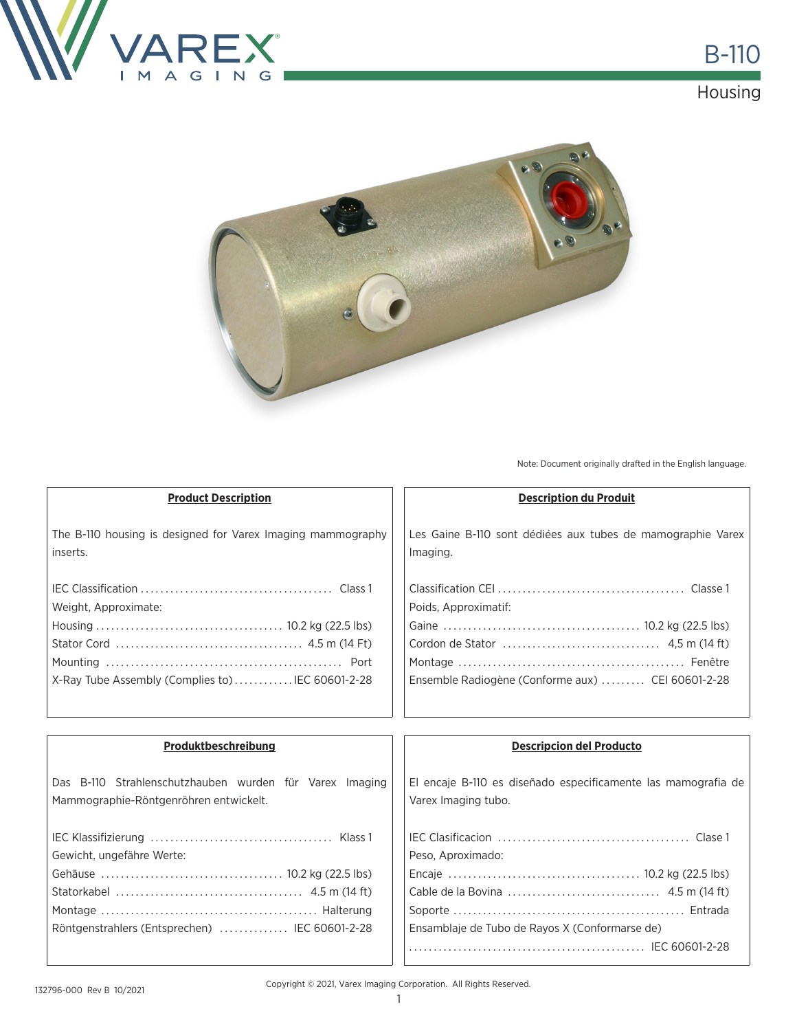

# **Housing**



Note: Document originally drafted in the English language.

| <b>Product Description</b>                                                                        | <b>Description du Produit</b>                                                        |
|---------------------------------------------------------------------------------------------------|--------------------------------------------------------------------------------------|
| The B-110 housing is designed for Varex Imaging mammography<br>inserts.                           | Les Gaine B-110 sont dédiées aux tubes de mamographie Varex<br>Imaging.              |
| Weight, Approximate:<br>X-Ray Tube Assembly (Complies to)IEC 60601-2-28                           | Poids, Approximatif:<br>Ensemble Radiogène (Conforme aux)  CEI 60601-2-28            |
|                                                                                                   |                                                                                      |
| Produktbeschreibung                                                                               | <b>Descripcion del Producto</b>                                                      |
| Das B-110 Strahlenschutzhauben wurden für Varex Imaging<br>Mammographie-Röntgenröhren entwickelt. | El encaje B-110 es diseñado especificamente las mamografia de<br>Varex Imaging tubo. |
|                                                                                                   |                                                                                      |
| Gewicht, ungefähre Werte:                                                                         | Peso, Aproximado:                                                                    |

Copyright © 2021, Varex Imaging Corporation. All Rights Reserved.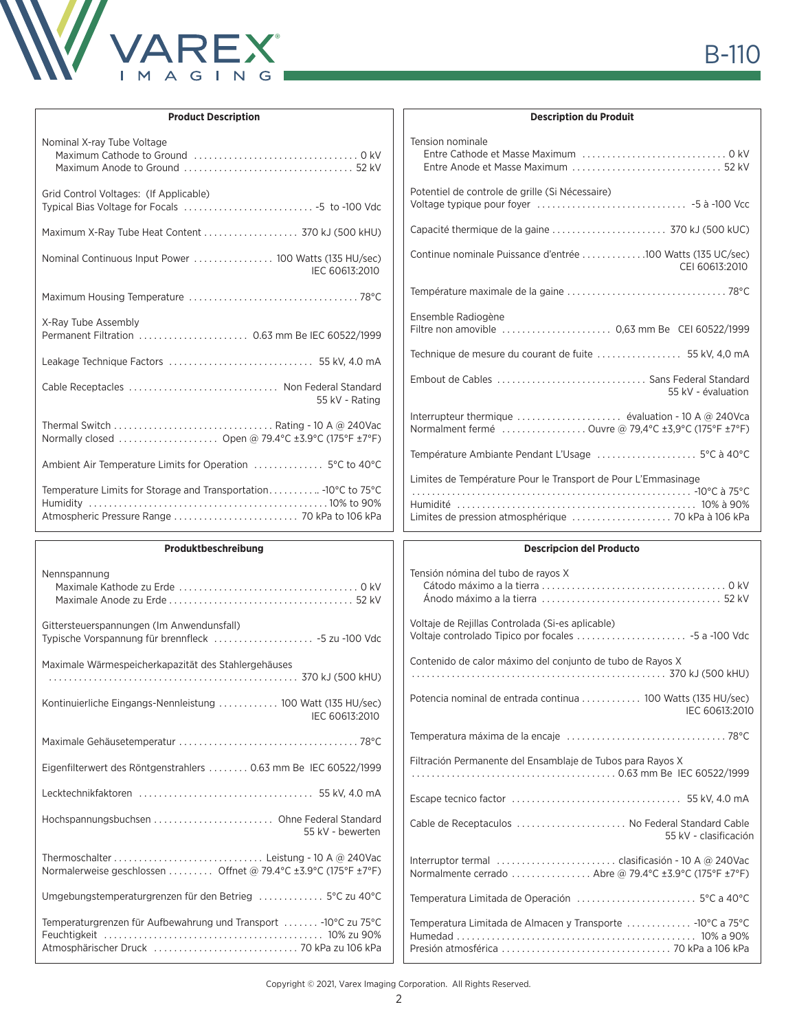

| <b>Product Description</b>                                                                                        | <b>Description du Produit</b>                                 |
|-------------------------------------------------------------------------------------------------------------------|---------------------------------------------------------------|
| Nominal X-ray Tube Voltage                                                                                        | Tension nominale                                              |
|                                                                                                                   |                                                               |
|                                                                                                                   |                                                               |
| Grid Control Voltages: (If Applicable)                                                                            | Potentiel de controle de grille (Si Nécessaire)               |
|                                                                                                                   |                                                               |
| Maximum X-Ray Tube Heat Content  370 kJ (500 kHU)                                                                 |                                                               |
|                                                                                                                   | Continue nominale Puissance d'entrée 100 Watts (135 UC/sec)   |
| IEC 60613:2010                                                                                                    | CEI 60613:2010                                                |
|                                                                                                                   |                                                               |
| X-Ray Tube Assembly                                                                                               | Ensemble Radiogène                                            |
|                                                                                                                   |                                                               |
|                                                                                                                   |                                                               |
| Cable Receptacles  Non Federal Standard                                                                           |                                                               |
| 55 kV - Rating                                                                                                    | 55 kV - évaluation                                            |
|                                                                                                                   |                                                               |
| Normally closed  Open @ 79.4°C ±3.9°C (175°F ±7°F)                                                                | Normalment fermé Ouvre @ 79,4°C ±3,9°C (175°F ±7°F)           |
|                                                                                                                   |                                                               |
| Temperature Limits for Storage and Transportation - 10°C to 75°C<br>Atmospheric Pressure Range  70 kPa to 106 kPa | Limites de Température Pour le Transport de Pour L'Emmasinage |
|                                                                                                                   |                                                               |
| Produktbeschreibung                                                                                               | <b>Descripcion del Producto</b>                               |
| Nennspannung                                                                                                      | Tensión nómina del tubo de rayos X                            |
|                                                                                                                   |                                                               |
|                                                                                                                   |                                                               |
| Gittersteuerspannungen (Im Anwendunsfall)                                                                         | Voltaje de Rejillas Controlada (Si-es aplicable)              |
| Typische Vorspannung für brennfleck  -5 zu -100 Vdc                                                               |                                                               |
| Maximale Wärmespeicherkapazität des Stahlergehäuses                                                               | Contenido de calor máximo del conjunto de tubo de Rayos X     |
|                                                                                                                   |                                                               |
| Kontinuierliche Eingangs-Nennleistung  100 Watt (135 HU/sec)                                                      | Potencia nominal de entrada continua  100 Watts (135 HU/sec)  |
| IEC 60613:2010                                                                                                    | IEC 60613:2010                                                |
|                                                                                                                   |                                                               |
| Eigenfilterwert des Röntgenstrahlers  0.63 mm Be IEC 60522/1999                                                   | Filtración Permanente del Ensamblaje de Tubos para Rayos X    |
|                                                                                                                   |                                                               |
|                                                                                                                   | Cable de Receptaculos  No Federal Standard Cable              |
| 55 kV - bewerten                                                                                                  | 55 kV - clasificación                                         |
|                                                                                                                   |                                                               |
| Normalerweise geschlossen  Offnet @ 79.4°C ±3.9°C (175°F ±7°F)                                                    | Normalmente cerrado  Abre @ 79.4°C ±3.9°C (175°F ±7°F)        |
| Umgebungstemperaturgrenzen für den Betrieg  5°C zu 40°C                                                           |                                                               |

ıг

Copyright © 2021, Varex Imaging Corporation. All Rights Reserved.

Presión atmosférica . 70 kPa a 106 kPa

Atmosphärischer Druck . 70 kPa zu 106 kPa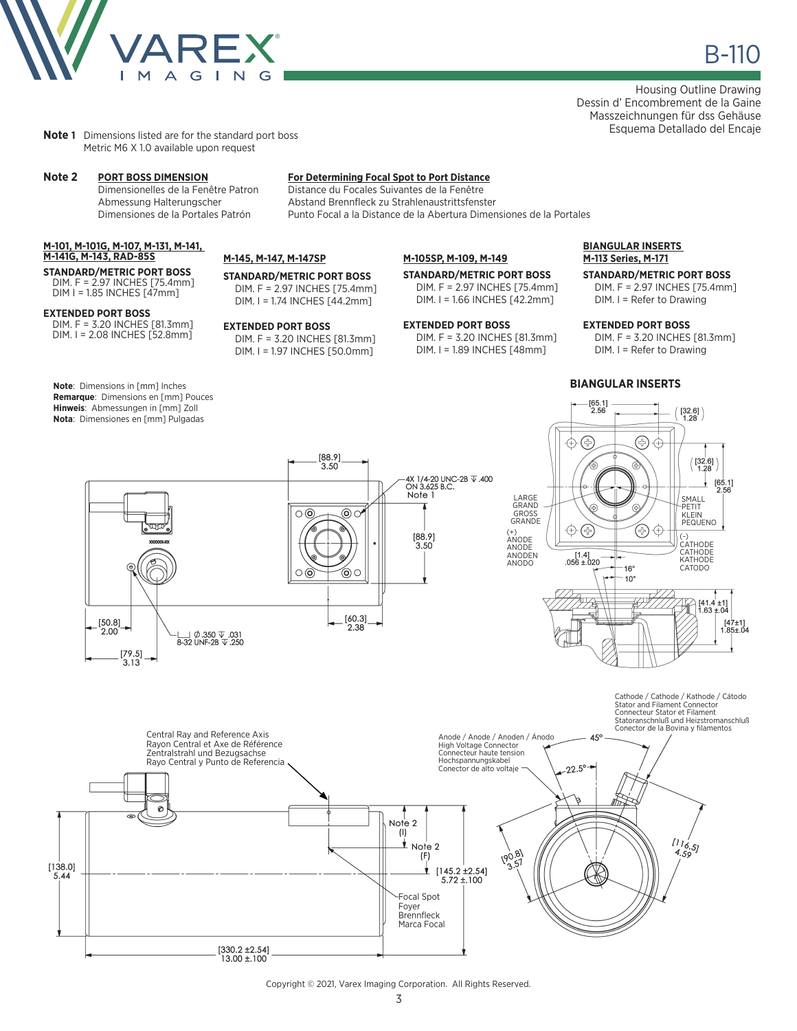

Housing Outline Drawing Dessin d' Encombrement de la Gaine Masszeichnungen für dss Gehäuse Esquema Detallado del Encaje

**Note 1** Dimensions listed are for the standard port boss Metric M6 X 1.0 available upon request

#### **M-101, M-101G, M-107, M-131, M-141, M-141G, M-143, RAD-85S**

**STANDARD/METRIC PORT BOSS** DIM. F = 2.97 INCHES [75.4mm] DIM I = 1.85 INCHES [47mm]

#### **EXTENDED PORT BOSS**

DIM. F = 3.20 INCHES [81.3mm] DIM. I = 2.08 INCHES [52.8mm]

**Note**: Dimensions in [mm] Inches **Remarque**: Dimensions en [mm] Pouces **Hinweis**: Abmessungen in [mm] Zoll **Nota**: Dimensiones en [mm] Pulgadas

 $[50.8]$ 

 $2.00$ 

 $\begin{bmatrix} 79.5 \\ 3.13 \end{bmatrix}$ 

U Ø.350 V.031<br>8-32 UNF-2B V.250

# **Note 2 PORT BOSS DIMENSION For Determining Focal Spot to Port Distance**

Distance du Focales Suivantes de la Fenêtre Abmessung Halterungscher Abstand Brennfleck zu Strahlenaustrittsfenster Dimensiones de la Portales Patrón Punto Focal a la Distance de la Abertura Dimensiones de la Portales

## **M-145, M-147, M-147SP**

**STANDARD/METRIC PORT BOSS** DIM. F = 2.97 INCHES [75.4mm] DIM. I = 1.74 INCHES [44.2mm]

### **EXTENDED PORT BOSS**

DIM. F = 3.20 INCHES [81.3mm] DIM. I = 1.97 INCHES [50.0mm]

 $\overline{\circ}$ 

 $\circ$ 

 $[88.9]$ 

 $3.50$ 

 $\circledcirc$ 

⊚○

 $\begin{bmatrix} 60.3 \\ 2.38 \end{bmatrix}$ 

### **M-105SP, M-109, M-149**

4X 1/4-20 UNC-2B  $\overline{V}$  .400<br>ON 3.625 B.C.

Note 1

 $[88.9]$  $3.50$ 

**STANDARD/METRIC PORT BOSS** DIM. F = 2.97 INCHES [75.4mm]

DIM. I = 1.66 INCHES [42.2mm]

### **EXTENDED PORT BOSS** DIM. F = 3.20 INCHES [81.3mm] DIM. I = 1.89 INCHES [48mm]

### **BIANGULAR INSERTS M-113 Series, M-171**

### **STANDARD/METRIC PORT BOSS**

DIM. F = 2.97 INCHES [75.4mm] DIM. I = Refer to Drawing

### **EXTENDED PORT BOSS**

DIM. F = 3.20 INCHES [81.3mm] DIM. I = Refer to Drawing

### **BIANGULAR INSERTS**





Copyright © 2021, Varex Imaging Corporation. All Rights Reserved.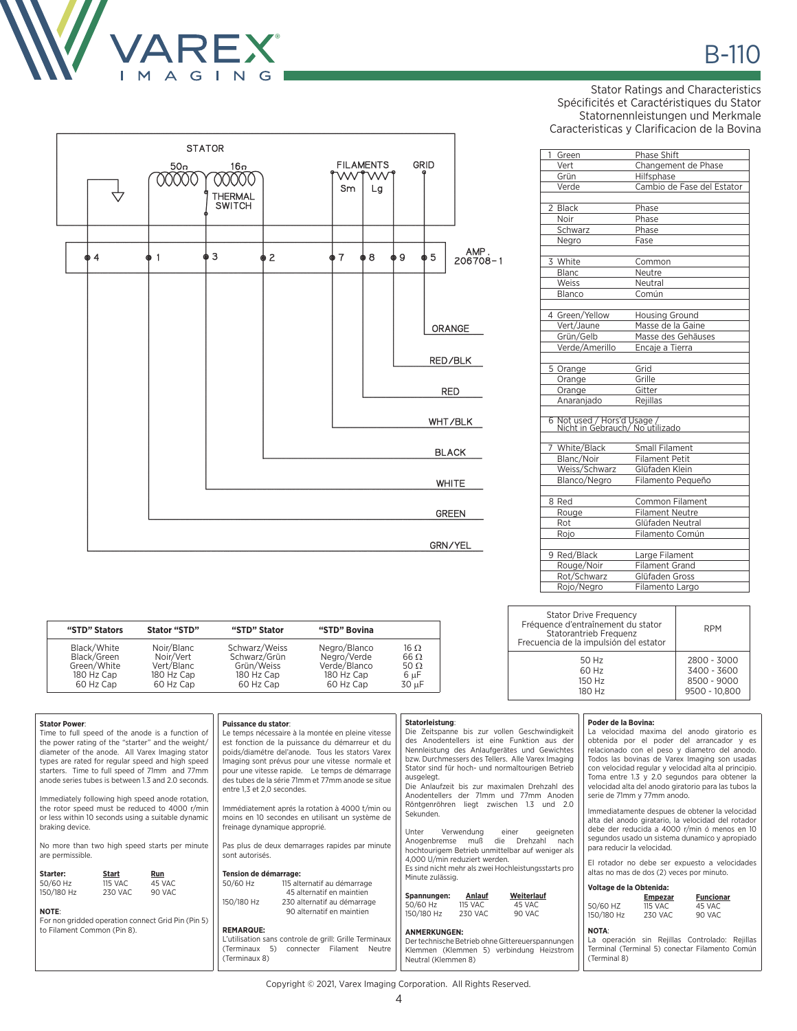

 $\overline{\mathcal{A}}$ 

 $\overline{4}$ 

**STATOR** 

фЗ

 $16n$ 

00000

THERMAL<br>SWITCH

 $\overline{2}$ 

**FILAMENTS** 

wv

Sm

(∤ ∤

w

Lg

8

 $\overline{9}$ 

GRID

 $\mathbf 5$ 

ORANGE

RED/BLK

**RED** 

WHT/BLK

 $\ensuremath{\mathsf{BLACK}}$ 

**WHITE** 

GREEN

GRN/YEL

AMP.<br>206708-1

 $50n$ 

00000

 $\overline{1}$ 

Stator Ratings and Characteristics Spécificités et Caractéristiques du Stator Statornennleistungen und Merkmale Caracteristicas y Clarificacion de la Bovina

| 1<br>Green                                                     | Phase Shift                |
|----------------------------------------------------------------|----------------------------|
| Vert                                                           | Changement de Phase        |
| Grün                                                           | Hilfsphase                 |
| Verde                                                          | Cambio de Fase del Estator |
| 2 Black                                                        | Phase                      |
| Noir                                                           | Phase                      |
| Schwarz                                                        | Phase                      |
| Negro                                                          | Fase                       |
| 3 White                                                        | Common                     |
| Blanc                                                          | Neutre                     |
| Weiss                                                          | Neutral                    |
| Blanco                                                         | Común                      |
| 4 Green/Yellow                                                 | <b>Housing Ground</b>      |
| Vert/Jaune                                                     | Masse de la Gaine          |
| Grün/Gelb                                                      | Masse des Gehäuses         |
| Verde/Amerillo                                                 | Encaje a Tierra            |
| 5 Orange                                                       | Grid                       |
| Orange                                                         | Grille                     |
| Orange                                                         | Gitter                     |
| Anaranjado                                                     | Reiillas                   |
| 6 Not used / Hors'd Usage /<br>Nicht in Gebrauch/ No utilizado |                            |
| 7 White/Black                                                  | Small Filament             |
| Blanc/Noir                                                     | <b>Filament Petit</b>      |
| Weiss/Schwarz                                                  | Glüfaden Klein             |
| Blanco/Negro                                                   | Filamento Pequeño          |
| 8 Red                                                          | <b>Common Filament</b>     |
| Rouge                                                          | <b>Filament Neutre</b>     |
| Rot                                                            | Glüfaden Neutral           |
| Rojo                                                           | Filamento Común            |
| 9 Red/Black                                                    | Large Filament             |
| Rouge/Noir                                                     | <b>Filament Grand</b>      |
| Rot/Schwarz                                                    | Glüfaden Gross             |
| Rojo/Negro                                                     | Filamento Largo            |

RPM

2800 - 3000 3400 - 3600 8500 - 9000 9500 - 10,800

Stator Drive Frequency Fréquence d'entraînement du stator Statorantrieb Frequenz Frecuencia de la impulsión del estator

> 50 Hz 60 Hz 150 Hz 180 Hz

| "STD" Stators | Stator "STD" | "STD" Stator  | "STD" Bovina |                   |
|---------------|--------------|---------------|--------------|-------------------|
| Black/White   | Noir/Blanc   | Schwarz/Weiss | Negro/Blanco | $16 \Omega$       |
| Black/Green   | Noir/Vert    | Schwarz/Grün  | Negro/Verde  | $66 \Omega$       |
| Green/White   | Vert/Blanc   | Grün/Weiss    | Verde/Blanco | 50 $\Omega$       |
| 180 Hz Cap    | 180 Hz Cap   | 180 Hz Cap    | 180 Hz Cap   | 6 µF              |
| 60 Hz Cap     | 60 Hz Cap    | 60 Hz Cap     | 60 Hz Cap    | 30 <sub>µ</sub> F |

| <b>Stator Power:</b><br>Time to full speed of the anode is a function of<br>the power rating of the "starter" and the weight/<br>diameter of the anode. All Varex Imaging stator<br>types are rated for regular speed and high speed<br>starters. Time to full speed of 71mm and 77mm<br>anode series tubes is between 1.3 and 2.0 seconds.<br>Immediately following high speed anode rotation,<br>the rotor speed must be reduced to 4000 r/min<br>or less within 10 seconds using a suitable dynamic<br>braking device.<br>No more than two high speed starts per minute<br>are permissible. | Puissance du stator:<br>Le temps nécessaire à la montée en pleine vitesse<br>est fonction de la puissance du démarreur et du<br>poids/diamétre del'anode. Tous les stators Varex<br>Imaging sont prévus pour une vitesse normale et<br>pour une vitesse rapide. Le temps de démarrage<br>des tubes de la série 71mm et 77mm anode se situe<br>entre 1.3 et 2.0 secondes.<br>Immédiatement aprés la rotation à 4000 t/min ou<br>moins en 10 secondes en utilisant un système de<br>freinage dynamique approprié.<br>Pas plus de deux demarrages rapides par minute<br>sont autorisés. | Statorleistung:<br>Die Zeitspanne bis zur vollen Geschwindigkeit<br>des Anodentellers ist eine Funktion aus der<br>Nennleistung des Anlaufgerätes und Gewichtes<br>bzw. Durchmessers des Tellers. Alle Varex Imaging<br>Stator sind für hoch- und normaltourigen Betrieb<br>ausgelegt.<br>Die Anlaufzeit bis zur maximalen Drehzahl des<br>Anodentellers der 71mm und 77mm Anoden<br>Röntgenröhren liegt zwischen<br>1.3<br>und 2.0<br>Sekunden.<br>Unter<br>Verwendung<br>geeigneten<br>einer<br>Drehzahl nach<br>Anogenbremse<br>muß<br>die<br>hochtourigem Betrieb unmittelbar auf weniger als<br>4,000 U/min reduziert werden. | Poder de la Bovina:<br>La velocidad maxima del anodo giratorio es<br>obtenida por el poder del arrancador y es<br>relacionado con el peso y diametro del anodo.<br>Todos las bovinas de Varex Imaging son usadas<br>con velocidad regular y velocidad alta al principio.<br>Toma entre 1.3 y 2.0 segundos para obtener la<br>velocidad alta del anodo giratorio para las tubos la<br>serie de 71mm y 77mm anodo.<br>Immediatamente despues de obtener la velocidad<br>alta del anodo giratario, la velocidad del rotador<br>debe der reducida a 4000 r/min ó menos en 10<br>segundos usado un sistema dunamico y apropiado<br>para reducir la velocidad. |  |
|------------------------------------------------------------------------------------------------------------------------------------------------------------------------------------------------------------------------------------------------------------------------------------------------------------------------------------------------------------------------------------------------------------------------------------------------------------------------------------------------------------------------------------------------------------------------------------------------|--------------------------------------------------------------------------------------------------------------------------------------------------------------------------------------------------------------------------------------------------------------------------------------------------------------------------------------------------------------------------------------------------------------------------------------------------------------------------------------------------------------------------------------------------------------------------------------|------------------------------------------------------------------------------------------------------------------------------------------------------------------------------------------------------------------------------------------------------------------------------------------------------------------------------------------------------------------------------------------------------------------------------------------------------------------------------------------------------------------------------------------------------------------------------------------------------------------------------------|----------------------------------------------------------------------------------------------------------------------------------------------------------------------------------------------------------------------------------------------------------------------------------------------------------------------------------------------------------------------------------------------------------------------------------------------------------------------------------------------------------------------------------------------------------------------------------------------------------------------------------------------------------|--|
| Starter:<br><b>Start</b><br>Run<br>50/60 Hz<br><b>115 VAC</b><br>45 VAC<br>150/180 Hz<br>230 VAC<br>90 VAC<br><b>NOTE:</b><br>For non gridded operation connect Grid Pin (Pin 5)                                                                                                                                                                                                                                                                                                                                                                                                               | <b>Tension de démarrage:</b><br>50/60 Hz<br>115 alternatif au démarrage<br>45 alternatif en maintien<br>150/180 Hz<br>230 alternatif au démarrage<br>90 alternatif en maintien                                                                                                                                                                                                                                                                                                                                                                                                       | Es sind nicht mehr als zwei Hochleistungsstarts pro<br>Minute zulässig.<br>Weiterlauf<br>Spannungen:<br>Anlauf<br>50/60 Hz<br><b>115 VAC</b><br>45 VAC<br>150/180 Hz<br><b>230 VAC</b><br>90 VAC                                                                                                                                                                                                                                                                                                                                                                                                                                   | El rotador no debe ser expuesto a velocidades<br>altas no mas de dos (2) veces por minuto.<br>Voltage de la Obtenida:<br><b>Funcionar</b><br><b>Empezar</b><br>50/60 HZ<br><b>115 VAC</b><br>45 VAC<br>150/180 Hz<br><b>230 VAC</b><br>90 VAC                                                                                                                                                                                                                                                                                                                                                                                                            |  |
| to Filament Common (Pin 8).                                                                                                                                                                                                                                                                                                                                                                                                                                                                                                                                                                    | <b>REMARQUE:</b><br>L'utilisation sans controle de grill: Grille Terminaux<br>(Terminaux 5)<br>connecter Filament Neutre<br>(Terminaux 8)                                                                                                                                                                                                                                                                                                                                                                                                                                            | <b>ANMERKUNGEN:</b><br>Der technische Betrieb ohne Gittereuerspannungen<br>Klemmen (Klemmen 5) verbindung Heizstrom<br>Neutral (Klemmen 8)                                                                                                                                                                                                                                                                                                                                                                                                                                                                                         | <b>NOTA:</b><br>La operación sin Rejillas Controlado: Rejillas<br>Terminal (Terminal 5) conectar Filamento Común<br>(Terminal 8)                                                                                                                                                                                                                                                                                                                                                                                                                                                                                                                         |  |

Copyright © 2021, Varex Imaging Corporation. All Rights Reserved.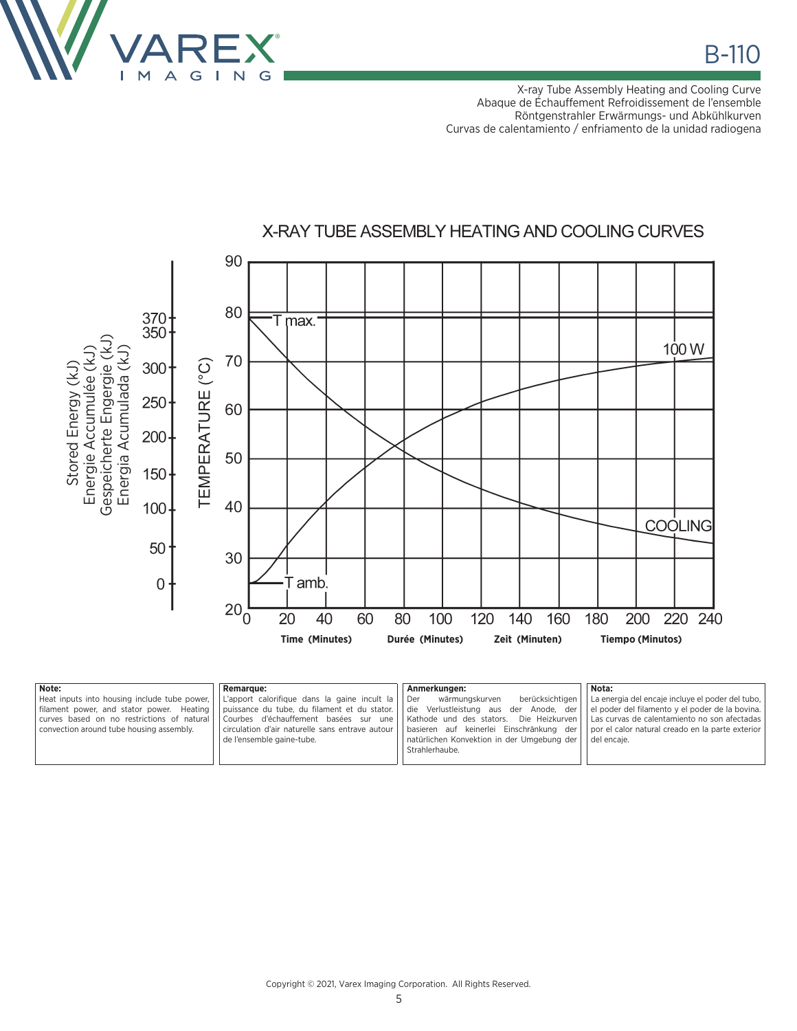

X-ray Tube Assembly Heating and Cooling Curve Abaque de Échauffement Refroidissement de l'ensemble Röntgenstrahler Erwärmungs- und Abkühlkurven Curvas de calentamiento / enfriamento de la unidad radiogena



| Note:                                    | <b>Remarque:</b>                                                                                        | . Anmerkungen:                                                                                                                                | Nota:                                            |
|------------------------------------------|---------------------------------------------------------------------------------------------------------|-----------------------------------------------------------------------------------------------------------------------------------------------|--------------------------------------------------|
|                                          | Heat inputs into housing include tube power, $\vert \vert$ L'apport calorifique dans la gaine incult la | Der<br>wärmungskurven<br>berücksichtigen                                                                                                      | La energia del encaje incluye el poder del tubo, |
|                                          |                                                                                                         | filament power, and stator power. Heating   puissance du tube, du filament et du stator.   die Verlustleistung aus der Anode, der             | el poder del filamento y el poder de la bovina.  |
|                                          | curves based on no restrictions of natural   Courbes d'échauffement basées sur une                      | Kathode und des stators. Die Heizkurven   Las curvas de calentamiento no son afectadas                                                        |                                                  |
| convection around tube housing assembly. |                                                                                                         | circulation d'air naturelle sans entrave autour   basieren auf keinerlei Einschränkung der   por el calor natural creado en la parte exterior |                                                  |
|                                          | de l'ensemble gaine-tube.                                                                               | natürlichen Konvektion in der Umgebung der                                                                                                    | del encaie.                                      |
|                                          |                                                                                                         | Strahlerhaube.                                                                                                                                |                                                  |
|                                          |                                                                                                         |                                                                                                                                               |                                                  |